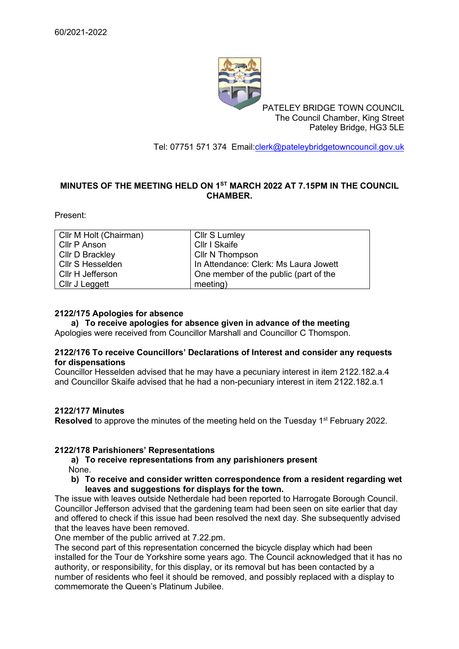

PATELEY BRIDGE TOWN COUNCIL The Council Chamber, King Street Pateley Bridge, HG3 5LE

Tel: 07751 571 374 Email[:clerk@pateleybridgetowncouncil.gov.uk](mailto:clerk@pateleybridgetowncouncil.gov.uk)

# **MINUTES OF THE MEETING HELD ON 1 ST MARCH 2022 AT 7.15PM IN THE COUNCIL CHAMBER.**

Present:

| Cllr M Holt (Chairman) | Cllr S Lumley                         |
|------------------------|---------------------------------------|
| Cllr P Anson           | Cllr I Skaife                         |
| <b>Cllr D Brackley</b> | Cllr N Thompson                       |
| Cllr S Hesselden       | In Attendance: Clerk: Ms Laura Jowett |
| Cllr H Jefferson       | One member of the public (part of the |
| Cllr J Leggett         | meeting)                              |

#### **2122/175 Apologies for absence**

**a) To receive apologies for absence given in advance of the meeting**

Apologies were received from Councillor Marshall and Councillor C Thomspon.

#### **2122/176 To receive Councillors' Declarations of Interest and consider any requests for dispensations**

Councillor Hesselden advised that he may have a pecuniary interest in item 2122.182.a.4 and Councillor Skaife advised that he had a non-pecuniary interest in item 2122.182.a.1

# **2122/177 Minutes**

Resolved to approve the minutes of the meeting held on the Tuesday 1<sup>st</sup> February 2022.

# **2122/178 Parishioners' Representations**

- **a) To receive representations from any parishioners present**  None.
- **b) To receive and consider written correspondence from a resident regarding wet leaves and suggestions for displays for the town.**

The issue with leaves outside Netherdale had been reported to Harrogate Borough Council. Councillor Jefferson advised that the gardening team had been seen on site earlier that day and offered to check if this issue had been resolved the next day. She subsequently advised that the leaves have been removed.

One member of the public arrived at 7.22.pm.

The second part of this representation concerned the bicycle display which had been installed for the Tour de Yorkshire some years ago. The Council acknowledged that it has no authority, or responsibility, for this display, or its removal but has been contacted by a number of residents who feel it should be removed, and possibly replaced with a display to commemorate the Queen's Platinum Jubilee.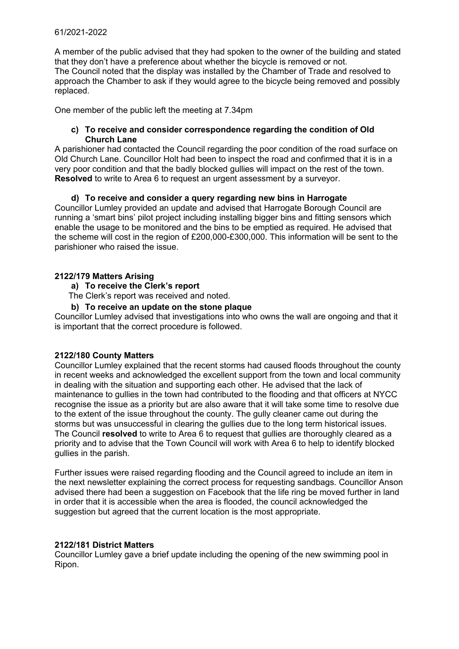#### 61/2021-2022

A member of the public advised that they had spoken to the owner of the building and stated that they don't have a preference about whether the bicycle is removed or not. The Council noted that the display was installed by the Chamber of Trade and resolved to approach the Chamber to ask if they would agree to the bicycle being removed and possibly replaced.

One member of the public left the meeting at 7.34pm

# **c) To receive and consider correspondence regarding the condition of Old Church Lane**

A parishioner had contacted the Council regarding the poor condition of the road surface on Old Church Lane. Councillor Holt had been to inspect the road and confirmed that it is in a very poor condition and that the badly blocked gullies will impact on the rest of the town. **Resolved** to write to Area 6 to request an urgent assessment by a surveyor.

# **d) To receive and consider a query regarding new bins in Harrogate**

Councillor Lumley provided an update and advised that Harrogate Borough Council are running a 'smart bins' pilot project including installing bigger bins and fitting sensors which enable the usage to be monitored and the bins to be emptied as required. He advised that the scheme will cost in the region of £200,000-£300,000. This information will be sent to the parishioner who raised the issue.

#### **2122/179 Matters Arising**

#### **a) To receive the Clerk's report**

The Clerk's report was received and noted.

#### **b) To receive an update on the stone plaque**

Councillor Lumley advised that investigations into who owns the wall are ongoing and that it is important that the correct procedure is followed.

#### **2122/180 County Matters**

Councillor Lumley explained that the recent storms had caused floods throughout the county in recent weeks and acknowledged the excellent support from the town and local community in dealing with the situation and supporting each other. He advised that the lack of maintenance to gullies in the town had contributed to the flooding and that officers at NYCC recognise the issue as a priority but are also aware that it will take some time to resolve due to the extent of the issue throughout the county. The gully cleaner came out during the storms but was unsuccessful in clearing the gullies due to the long term historical issues. The Council **resolved** to write to Area 6 to request that gullies are thoroughly cleared as a priority and to advise that the Town Council will work with Area 6 to help to identify blocked gullies in the parish.

Further issues were raised regarding flooding and the Council agreed to include an item in the next newsletter explaining the correct process for requesting sandbags. Councillor Anson advised there had been a suggestion on Facebook that the life ring be moved further in land in order that it is accessible when the area is flooded, the council acknowledged the suggestion but agreed that the current location is the most appropriate.

#### **2122/181 District Matters**

Councillor Lumley gave a brief update including the opening of the new swimming pool in Ripon.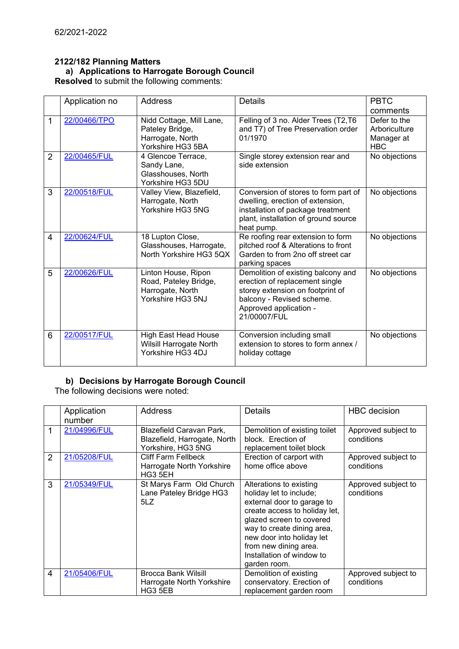# **2122/182 Planning Matters a) Applications to Harrogate Borough Council**

**Resolved** to submit the following comments:

|                | Application no | <b>Address</b>                                                                        | <b>Details</b>                                                                                                                                                                  | <b>PBTC</b>                                               |
|----------------|----------------|---------------------------------------------------------------------------------------|---------------------------------------------------------------------------------------------------------------------------------------------------------------------------------|-----------------------------------------------------------|
|                |                |                                                                                       |                                                                                                                                                                                 | comments                                                  |
| 1              | 22/00466/TPO   | Nidd Cottage, Mill Lane,<br>Pateley Bridge,<br>Harrogate, North<br>Yorkshire HG3 5BA  | Felling of 3 no. Alder Trees (T2,T6<br>and T7) of Tree Preservation order<br>01/1970                                                                                            | Defer to the<br>Arboriculture<br>Manager at<br><b>HBC</b> |
| $\overline{2}$ | 22/00465/FUL   | 4 Glencoe Terrace,<br>Sandy Lane,<br>Glasshouses, North<br>Yorkshire HG3 5DU          | Single storey extension rear and<br>side extension                                                                                                                              | No objections                                             |
| 3              | 22/00518/FUL   | Valley View, Blazefield,<br>Harrogate, North<br>Yorkshire HG3 5NG                     | Conversion of stores to form part of<br>dwelling, erection of extension,<br>installation of package treatment<br>plant, installation of ground source<br>heat pump.             | No objections                                             |
| 4              | 22/00624/FUL   | 18 Lupton Close,<br>Glasshouses, Harrogate,<br>North Yorkshire HG3 5QX                | Re roofing rear extension to form<br>pitched roof & Alterations to front<br>Garden to from 2no off street car<br>parking spaces                                                 | No objections                                             |
| 5              | 22/00626/FUL   | Linton House, Ripon<br>Road, Pateley Bridge,<br>Harrogate, North<br>Yorkshire HG3 5NJ | Demolition of existing balcony and<br>erection of replacement single<br>storey extension on footprint of<br>balcony - Revised scheme.<br>Approved application -<br>21/00007/FUL | No objections                                             |
| 6              | 22/00517/FUL   | <b>High East Head House</b><br>Wilsill Harrogate North<br>Yorkshire HG3 4DJ           | Conversion including small<br>extension to stores to form annex /<br>holiday cottage                                                                                            | No objections                                             |

# **b) Decisions by Harrogate Borough Council**

The following decisions were noted:

|                | Application<br>number | <b>Address</b>                                                                 | <b>Details</b>                                                                                                                                                                                                                                                                 | <b>HBC</b> decision               |
|----------------|-----------------------|--------------------------------------------------------------------------------|--------------------------------------------------------------------------------------------------------------------------------------------------------------------------------------------------------------------------------------------------------------------------------|-----------------------------------|
| 1              | 21/04996/FUL          | Blazefield Caravan Park,<br>Blazefield, Harrogate, North<br>Yorkshire, HG3 5NG | Demolition of existing toilet<br>block. Erection of<br>replacement toilet block                                                                                                                                                                                                | Approved subject to<br>conditions |
| $\overline{2}$ | 21/05208/FUL          | <b>Cliff Farm Fellbeck</b><br>Harrogate North Yorkshire<br>HG3 5EH             | Erection of carport with<br>home office above                                                                                                                                                                                                                                  | Approved subject to<br>conditions |
| 3              | 21/05349/FUL          | St Marys Farm Old Church<br>Lane Pateley Bridge HG3<br>5LZ                     | Alterations to existing<br>holiday let to include;<br>external door to garage to<br>create access to holiday let,<br>glazed screen to covered<br>way to create dining area,<br>new door into holiday let<br>from new dining area.<br>Installation of window to<br>garden room. | Approved subject to<br>conditions |
| 4              | 21/05406/FUL          | <b>Brocca Bank Wilsill</b><br>Harrogate North Yorkshire<br>HG3 5EB             | Demolition of existing<br>conservatory. Erection of<br>replacement garden room                                                                                                                                                                                                 | Approved subject to<br>conditions |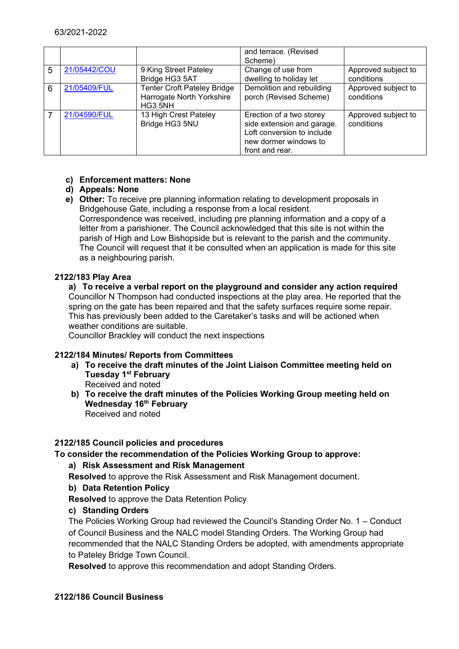|   |              |                                                                            | and terrace. (Revised<br>Scheme)                                                                                                 |                                   |
|---|--------------|----------------------------------------------------------------------------|----------------------------------------------------------------------------------------------------------------------------------|-----------------------------------|
| 5 | 21/05442/COU | 9 King Street Pateley<br>Bridge HG3 5AT                                    | Change of use from<br>dwelling to holiday let                                                                                    | Approved subject to<br>conditions |
| 6 | 21/05409/FUL | <b>Tenter Croft Pateley Bridge</b><br>Harrogate North Yorkshire<br>HG3 5NH | Demolition and rebuilding<br>porch (Revised Scheme)                                                                              | Approved subject to<br>conditions |
|   | 21/04590/FUL | 13 High Crest Pateley<br>Bridge HG3 5NU                                    | Erection of a two storey<br>side extension and garage.<br>Loft conversion to include<br>new dormer windows to<br>front and rear. | Approved subject to<br>conditions |

# **c) Enforcement matters: None**

# **d) Appeals: None**

**e) Other:** To receive pre planning information relating to development proposals in Bridgehouse Gate, including a response from a local resident. Correspondence was received, including pre planning information and a copy of a letter from a parishioner. The Council acknowledged that this site is not within the parish of High and Low Bishopside but is relevant to the parish and the community. The Council will request that it be consulted when an application is made for this site as a neighbouring parish.

# **2122/183 Play Area**

**a) To receive a verbal report on the playground and consider any action required** Councillor N Thompson had conducted inspections at the play area. He reported that the spring on the gate has been repaired and that the safety surfaces require some repair. This has previously been added to the Caretaker's tasks and will be actioned when weather conditions are suitable.

Councillor Brackley will conduct the next inspections

# **2122/184 Minutes/ Reports from Committees**

- **a) To receive the draft minutes of the Joint Liaison Committee meeting held on Tuesday 1st February** Received and noted
- **b) To receive the draft minutes of the Policies Working Group meeting held on Wednesday 16th February** Received and noted

# **2122/185 Council policies and procedures**

# **To consider the recommendation of the Policies Working Group to approve:**

# **a) Risk Assessment and Risk Management**

**Resolved** to approve the Risk Assessment and Risk Management document.

# **b) Data Retention Policy**

**Resolved** to approve the Data Retention Policy

# **c) Standing Orders**

The Policies Working Group had reviewed the Council's Standing Order No. 1 – Conduct of Council Business and the NALC model Standing Orders. The Working Group had recommended that the NALC Standing Orders be adopted, with amendments appropriate to Pateley Bridge Town Council.

**Resolved** to approve this recommendation and adopt Standing Orders.

# **2122/186 Council Business**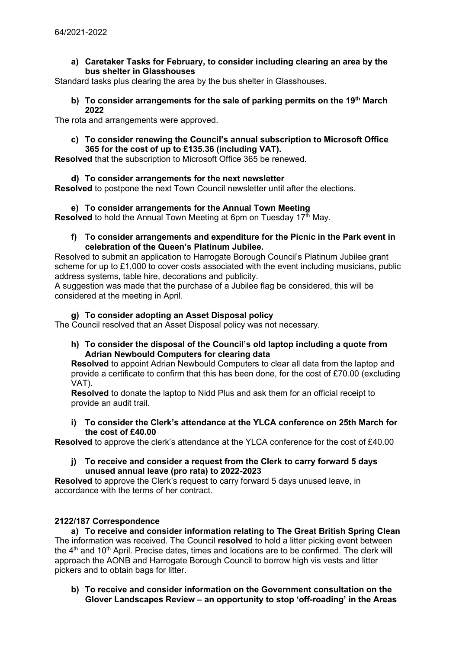#### **a) Caretaker Tasks for February, to consider including clearing an area by the bus shelter in Glasshouses**

Standard tasks plus clearing the area by the bus shelter in Glasshouses.

#### **b) To consider arrangements for the sale of parking permits on the 19th March 2022**

The rota and arrangements were approved.

#### **c) To consider renewing the Council's annual subscription to Microsoft Office 365 for the cost of up to £135.36 (including VAT).**

**Resolved** that the subscription to Microsoft Office 365 be renewed.

# **d) To consider arrangements for the next newsletter**

**Resolved** to postpone the next Town Council newsletter until after the elections.

# **e) To consider arrangements for the Annual Town Meeting**

**Resolved** to hold the Annual Town Meeting at 6pm on Tuesday 17<sup>th</sup> May.

#### **f) To consider arrangements and expenditure for the Picnic in the Park event in celebration of the Queen's Platinum Jubilee.**

Resolved to submit an application to Harrogate Borough Council's Platinum Jubilee grant scheme for up to £1,000 to cover costs associated with the event including musicians, public address systems, table hire, decorations and publicity.

A suggestion was made that the purchase of a Jubilee flag be considered, this will be considered at the meeting in April.

# **g) To consider adopting an Asset Disposal policy**

The Council resolved that an Asset Disposal policy was not necessary.

#### **h) To consider the disposal of the Council's old laptop including a quote from Adrian Newbould Computers for clearing data**

**Resolved** to appoint Adrian Newbould Computers to clear all data from the laptop and provide a certificate to confirm that this has been done, for the cost of £70.00 (excluding VAT).

**Resolved** to donate the laptop to Nidd Plus and ask them for an official receipt to provide an audit trail.

**i) To consider the Clerk's attendance at the YLCA conference on 25th March for the cost of £40.00**

**Resolved** to approve the clerk's attendance at the YLCA conference for the cost of £40.00

**j) To receive and consider a request from the Clerk to carry forward 5 days unused annual leave (pro rata) to 2022-2023**

**Resolved** to approve the Clerk's request to carry forward 5 days unused leave, in accordance with the terms of her contract.

# **2122/187 Correspondence**

**a) To receive and consider information relating to The Great British Spring Clean** The information was received. The Council **resolved** to hold a litter picking event between the  $4<sup>th</sup>$  and  $10<sup>th</sup>$  April. Precise dates, times and locations are to be confirmed. The clerk will approach the AONB and Harrogate Borough Council to borrow high vis vests and litter pickers and to obtain bags for litter.

**b) To receive and consider information on the Government consultation on the Glover Landscapes Review – an opportunity to stop 'off-roading' in the Areas**